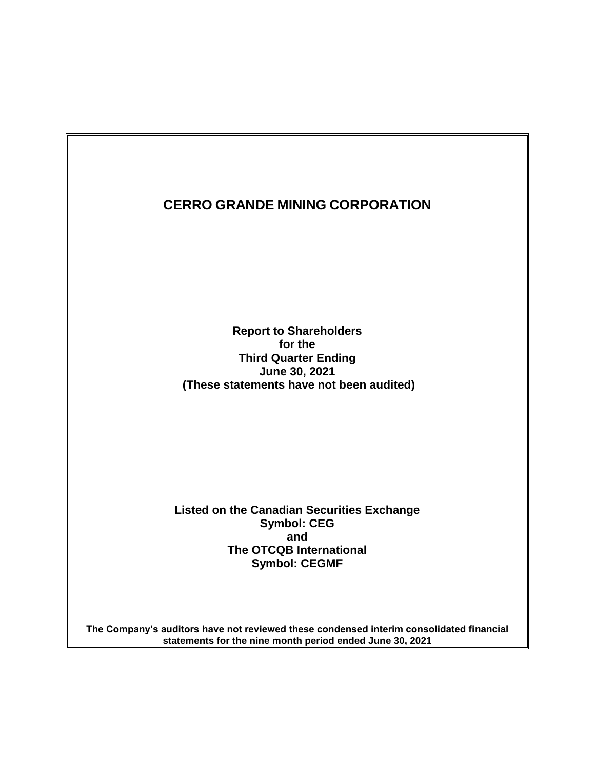**Report to Shareholders for the Third Quarter Ending June 30, 2021 (These statements have not been audited)**

**Listed on the Canadian Securities Exchange Symbol: CEG and The OTCQB International Symbol: CEGMF**

**The Company's auditors have not reviewed these condensed interim consolidated financial statements for the nine month period ended June 30, 2021**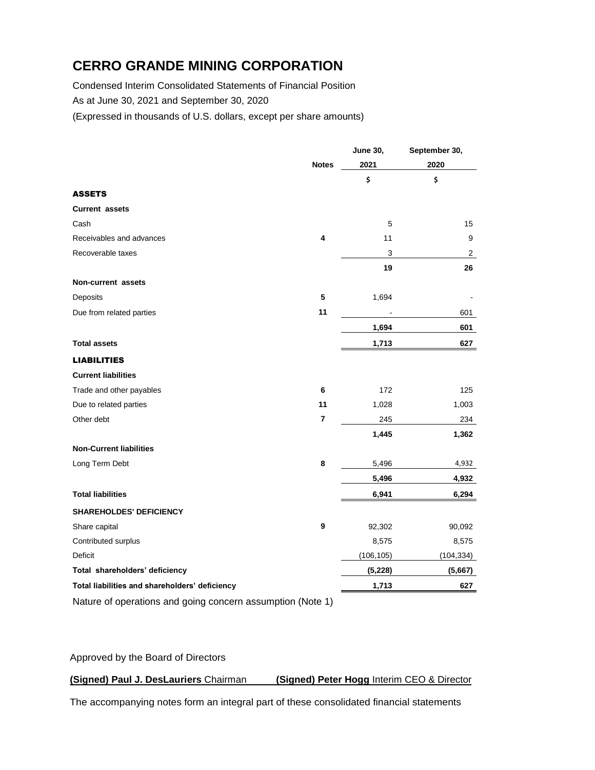Condensed Interim Consolidated Statements of Financial Position As at June 30, 2021 and September 30, 2020

(Expressed in thousands of U.S. dollars, except per share amounts)

|                                                            |              | June 30,   | September 30, |
|------------------------------------------------------------|--------------|------------|---------------|
|                                                            | <b>Notes</b> | 2021       | 2020          |
|                                                            |              | \$         | \$            |
| <b>ASSETS</b>                                              |              |            |               |
| <b>Current assets</b>                                      |              |            |               |
| Cash                                                       |              | 5          | 15            |
| Receivables and advances                                   | 4            | 11         | 9             |
| Recoverable taxes                                          |              | 3          | 2             |
|                                                            |              | 19         | 26            |
| Non-current assets                                         |              |            |               |
| Deposits                                                   | 5            | 1,694      |               |
| Due from related parties                                   | 11           |            | 601           |
|                                                            |              | 1,694      | 601           |
| <b>Total assets</b>                                        |              | 1,713      | 627           |
| <b>LIABILITIES</b>                                         |              |            |               |
| <b>Current liabilities</b>                                 |              |            |               |
| Trade and other payables                                   | 6            | 172        | 125           |
| Due to related parties                                     | 11           | 1,028      | 1,003         |
| Other debt                                                 | 7            | 245        | 234           |
|                                                            |              | 1,445      | 1,362         |
| <b>Non-Current liabilities</b>                             |              |            |               |
| Long Term Debt                                             | 8            | 5,496      | 4,932         |
|                                                            |              | 5,496      | 4,932         |
| <b>Total liabilities</b>                                   |              | 6,941      | 6,294         |
| <b>SHAREHOLDES' DEFICIENCY</b>                             |              |            |               |
| Share capital                                              | 9            | 92,302     | 90,092        |
| Contributed surplus                                        |              | 8,575      | 8,575         |
| Deficit                                                    |              | (106, 105) | (104, 334)    |
| Total shareholders' deficiency                             |              | (5, 228)   | (5,667)       |
| Total liabilities and shareholders' deficiency             |              | 1,713      | 627           |
| Nature of operations and going concern assumption (Note 1) |              |            |               |

Approved by the Board of Directors

#### **(Signed) Paul J. DesLauriers** Chairman **(Signed) Peter Hogg** Interim CEO & Director

The accompanying notes form an integral part of these consolidated financial statements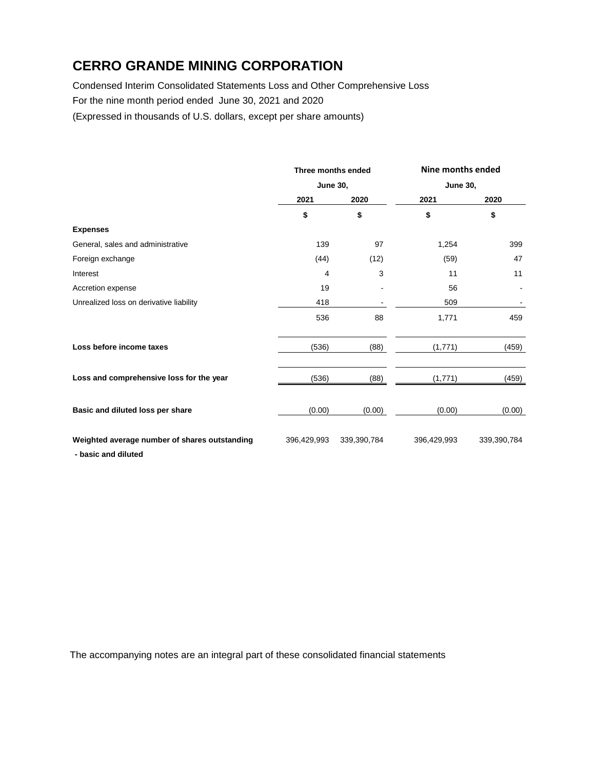Condensed Interim Consolidated Statements Loss and Other Comprehensive Loss For the nine month period ended June 30, 2021 and 2020

(Expressed in thousands of U.S. dollars, except per share amounts)

|                                                                      |             | Three months ended<br><b>June 30,</b> |             | Nine months ended |  |
|----------------------------------------------------------------------|-------------|---------------------------------------|-------------|-------------------|--|
|                                                                      |             |                                       |             | <b>June 30,</b>   |  |
|                                                                      | 2021        | 2020                                  | 2021        | 2020              |  |
|                                                                      | \$          | \$                                    | \$          | \$                |  |
| <b>Expenses</b>                                                      |             |                                       |             |                   |  |
| General, sales and administrative                                    | 139         | 97                                    | 1,254       | 399               |  |
| Foreign exchange                                                     | (44)        | (12)                                  | (59)        | 47                |  |
| Interest                                                             | 4           | 3                                     | 11          | 11                |  |
| Accretion expense                                                    | 19          |                                       | 56          |                   |  |
| Unrealized loss on derivative liability                              | 418         |                                       | 509         |                   |  |
|                                                                      | 536         | 88                                    | 1,771       | 459               |  |
| Loss before income taxes                                             | (536)       | (88)                                  | (1,771)     | (459)             |  |
| Loss and comprehensive loss for the year                             | (536)       | (88)                                  | (1,771)     | (459)             |  |
| Basic and diluted loss per share                                     | (0.00)      | (0.00)                                | (0.00)      | (0.00)            |  |
| Weighted average number of shares outstanding<br>- basic and diluted | 396,429,993 | 339,390,784                           | 396,429,993 | 339,390,784       |  |

The accompanying notes are an integral part of these consolidated financial statements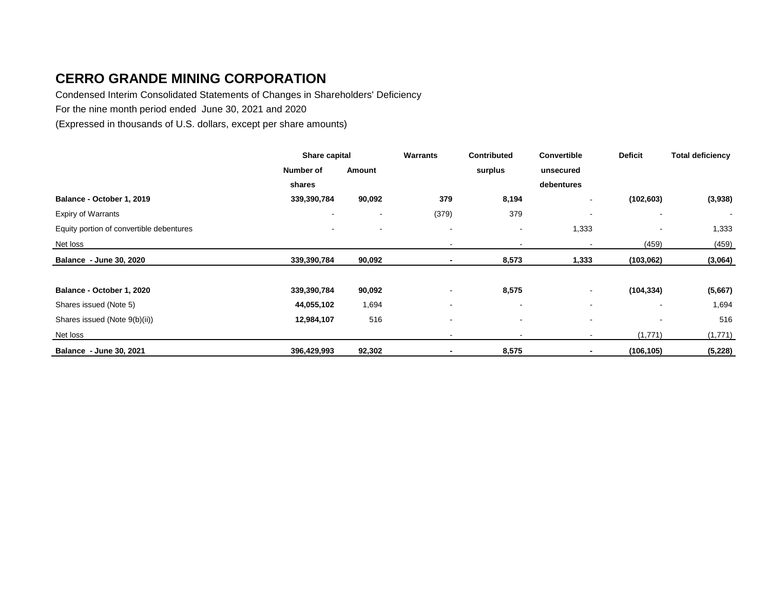Condensed Interim Consolidated Statements of Changes in Shareholders' Deficiency

For the nine month period ended June 30, 2021 and 2020

(Expressed in thousands of U.S. dollars, except per share amounts)

|                                          | Share capital            |                          | <b>Warrants</b>          | <b>Contributed</b> | <b>Convertible</b>       | <b>Deficit</b>           | <b>Total deficiency</b> |
|------------------------------------------|--------------------------|--------------------------|--------------------------|--------------------|--------------------------|--------------------------|-------------------------|
|                                          | Number of                | Amount                   |                          | surplus            | unsecured                |                          |                         |
|                                          | shares                   |                          |                          |                    | debentures               |                          |                         |
| Balance - October 1, 2019                | 339,390,784              | 90,092                   | 379                      | 8,194              | $\sim$                   | (102, 603)               | (3,938)                 |
| <b>Expiry of Warrants</b>                | $\overline{\phantom{a}}$ |                          | (379)                    | 379                |                          | $\overline{\phantom{a}}$ | $\sim$                  |
| Equity portion of convertible debentures | $\blacksquare$           | $\overline{\phantom{a}}$ | $\overline{\phantom{a}}$ | $\blacksquare$     | 1,333                    |                          | 1,333                   |
| Net loss                                 |                          |                          | $\overline{\phantom{a}}$ |                    | $\overline{\phantom{a}}$ | (459)                    | (459)                   |
| Balance - June 30, 2020                  | 339,390,784              | 90,092                   | ٠                        | 8,573              | 1,333                    | (103,062)                | (3,064)                 |
|                                          |                          |                          |                          |                    |                          |                          |                         |
| Balance - October 1, 2020                | 339,390,784              | 90,092                   |                          | 8,575              | $\sim$                   | (104, 334)               | (5,667)                 |
| Shares issued (Note 5)                   | 44,055,102               | 1,694                    | $\overline{\phantom{a}}$ |                    | $\blacksquare$           | $\overline{\phantom{a}}$ | 1,694                   |
| Shares issued (Note 9(b)(ii))            | 12,984,107               | 516                      | $\overline{\phantom{a}}$ |                    |                          |                          | 516                     |
| Net loss                                 |                          |                          |                          |                    |                          | (1,771)                  | (1,771)                 |
| Balance - June 30, 2021                  | 396,429,993              | 92,302                   | $\blacksquare$           | 8,575              |                          | (106, 105)               | (5, 228)                |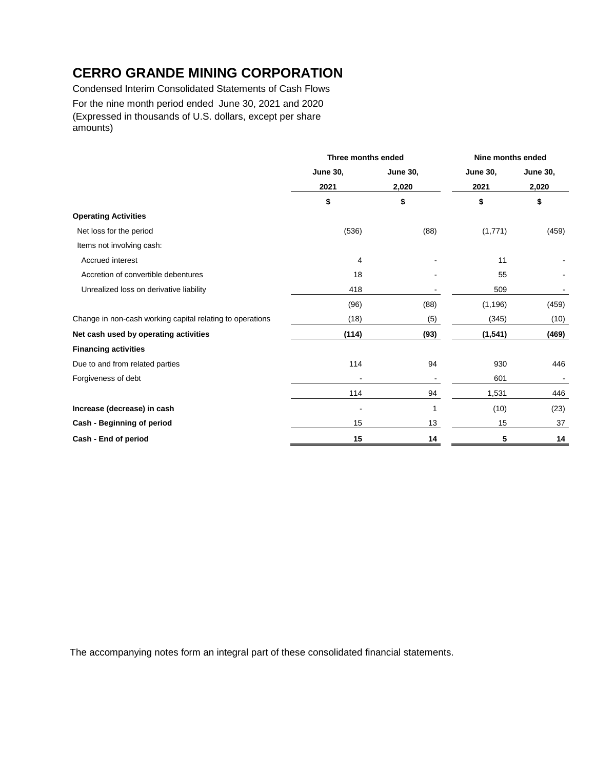Condensed Interim Consolidated Statements of Cash Flows For the nine month period ended June 30, 2021 and 2020 (Expressed in thousands of U.S. dollars, except per share amounts)

|                                                           | Three months ended |                 |                 | Nine months ended |  |
|-----------------------------------------------------------|--------------------|-----------------|-----------------|-------------------|--|
|                                                           | <b>June 30,</b>    | <b>June 30,</b> | <b>June 30,</b> | <b>June 30,</b>   |  |
|                                                           | 2021               | 2,020           | 2021            | 2,020             |  |
|                                                           | \$                 | \$              | \$              | \$                |  |
| <b>Operating Activities</b>                               |                    |                 |                 |                   |  |
| Net loss for the period                                   | (536)              | (88)            | (1,771)         | (459)             |  |
| Items not involving cash:                                 |                    |                 |                 |                   |  |
| Accrued interest                                          | 4                  |                 | 11              |                   |  |
| Accretion of convertible debentures                       | 18                 |                 | 55              |                   |  |
| Unrealized loss on derivative liability                   | 418                |                 | 509             |                   |  |
|                                                           | (96)               | (88)            | (1, 196)        | (459)             |  |
| Change in non-cash working capital relating to operations | (18)               | (5)             | (345)           | (10)              |  |
| Net cash used by operating activities                     | (114)              | (93)            | (1, 541)        | (469)             |  |
| <b>Financing activities</b>                               |                    |                 |                 |                   |  |
| Due to and from related parties                           | 114                | 94              | 930             | 446               |  |
| Forgiveness of debt                                       |                    |                 | 601             |                   |  |
|                                                           | 114                | 94              | 1,531           | 446               |  |
| Increase (decrease) in cash                               |                    | 1               | (10)            | (23)              |  |
| Cash - Beginning of period                                | 15                 | 13              | 15              | 37                |  |
| Cash - End of period                                      | 15                 | 14              | 5               | 14                |  |

The accompanying notes form an integral part of these consolidated financial statements.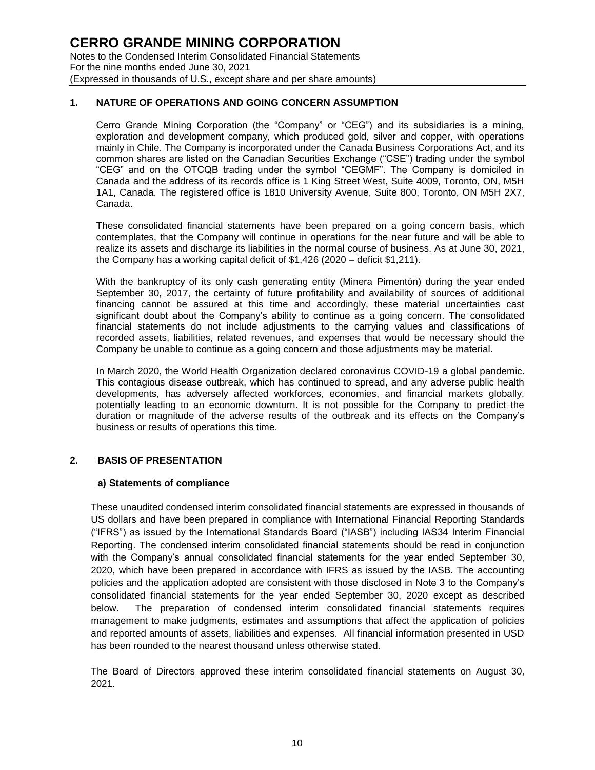#### **1. NATURE OF OPERATIONS AND GOING CONCERN ASSUMPTION**

Cerro Grande Mining Corporation (the "Company" or "CEG") and its subsidiaries is a mining, exploration and development company, which produced gold, silver and copper, with operations mainly in Chile. The Company is incorporated under the Canada Business Corporations Act, and its common shares are listed on the Canadian Securities Exchange ("CSE") trading under the symbol "CEG" and on the OTCQB trading under the symbol "CEGMF". The Company is domiciled in Canada and the address of its records office is 1 King Street West, Suite 4009, Toronto, ON, M5H 1A1, Canada. The registered office is 1810 University Avenue, Suite 800, Toronto, ON M5H 2X7, Canada.

These consolidated financial statements have been prepared on a going concern basis, which contemplates, that the Company will continue in operations for the near future and will be able to realize its assets and discharge its liabilities in the normal course of business. As at June 30, 2021, the Company has a working capital deficit of \$1,426 (2020 – deficit \$1,211).

With the bankruptcy of its only cash generating entity (Minera Pimentón) during the year ended September 30, 2017, the certainty of future profitability and availability of sources of additional financing cannot be assured at this time and accordingly, these material uncertainties cast significant doubt about the Company's ability to continue as a going concern. The consolidated financial statements do not include adjustments to the carrying values and classifications of recorded assets, liabilities, related revenues, and expenses that would be necessary should the Company be unable to continue as a going concern and those adjustments may be material.

In March 2020, the World Health Organization declared coronavirus COVID-19 a global pandemic. This contagious disease outbreak, which has continued to spread, and any adverse public health developments, has adversely affected workforces, economies, and financial markets globally, potentially leading to an economic downturn. It is not possible for the Company to predict the duration or magnitude of the adverse results of the outbreak and its effects on the Company's business or results of operations this time.

#### **2. BASIS OF PRESENTATION**

#### **a) Statements of compliance**

These unaudited condensed interim consolidated financial statements are expressed in thousands of US dollars and have been prepared in compliance with International Financial Reporting Standards ("IFRS") as issued by the International Standards Board ("IASB") including IAS34 Interim Financial Reporting. The condensed interim consolidated financial statements should be read in conjunction with the Company's annual consolidated financial statements for the year ended September 30, 2020, which have been prepared in accordance with IFRS as issued by the IASB. The accounting policies and the application adopted are consistent with those disclosed in Note 3 to the Company's consolidated financial statements for the year ended September 30, 2020 except as described below. The preparation of condensed interim consolidated financial statements requires management to make judgments, estimates and assumptions that affect the application of policies and reported amounts of assets, liabilities and expenses. All financial information presented in USD has been rounded to the nearest thousand unless otherwise stated.

The Board of Directors approved these interim consolidated financial statements on August 30, 2021.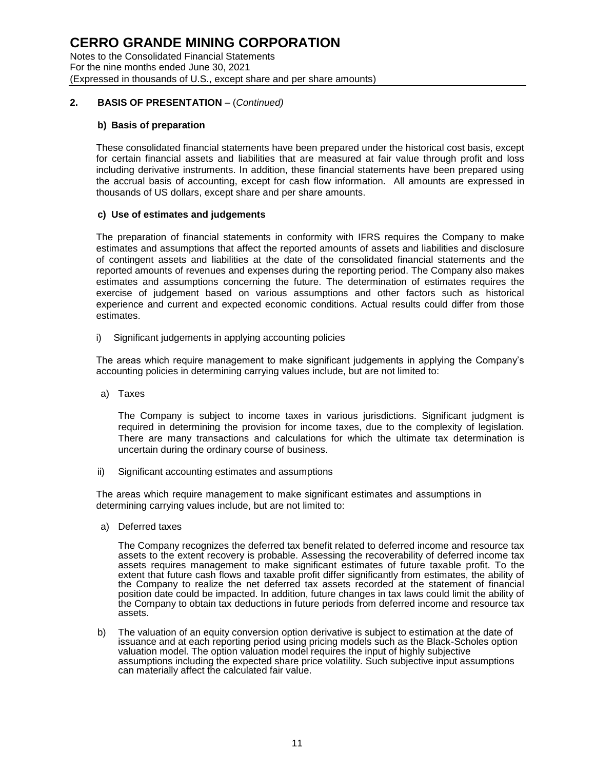Notes to the Consolidated Financial Statements For the nine months ended June 30, 2021 (Expressed in thousands of U.S., except share and per share amounts)

#### **2. BASIS OF PRESENTATION** – (*Continued)*

#### **b) Basis of preparation**

These consolidated financial statements have been prepared under the historical cost basis, except for certain financial assets and liabilities that are measured at fair value through profit and loss including derivative instruments. In addition, these financial statements have been prepared using the accrual basis of accounting, except for cash flow information. All amounts are expressed in thousands of US dollars, except share and per share amounts.

#### **c) Use of estimates and judgements**

The preparation of financial statements in conformity with IFRS requires the Company to make estimates and assumptions that affect the reported amounts of assets and liabilities and disclosure of contingent assets and liabilities at the date of the consolidated financial statements and the reported amounts of revenues and expenses during the reporting period. The Company also makes estimates and assumptions concerning the future. The determination of estimates requires the exercise of judgement based on various assumptions and other factors such as historical experience and current and expected economic conditions. Actual results could differ from those estimates.

i) Significant judgements in applying accounting policies

The areas which require management to make significant judgements in applying the Company's accounting policies in determining carrying values include, but are not limited to:

a) Taxes

The Company is subject to income taxes in various jurisdictions. Significant judgment is required in determining the provision for income taxes, due to the complexity of legislation. There are many transactions and calculations for which the ultimate tax determination is uncertain during the ordinary course of business.

ii) Significant accounting estimates and assumptions

The areas which require management to make significant estimates and assumptions in determining carrying values include, but are not limited to:

a) Deferred taxes

The Company recognizes the deferred tax benefit related to deferred income and resource tax assets to the extent recovery is probable. Assessing the recoverability of deferred income tax assets requires management to make significant estimates of future taxable profit. To the extent that future cash flows and taxable profit differ significantly from estimates, the ability of the Company to realize the net deferred tax assets recorded at the statement of financial position date could be impacted. In addition, future changes in tax laws could limit the ability of the Company to obtain tax deductions in future periods from deferred income and resource tax assets.

b) The valuation of an equity conversion option derivative is subject to estimation at the date of issuance and at each reporting period using pricing models such as the Black-Scholes option valuation model. The option valuation model requires the input of highly subjective assumptions including the expected share price volatility. Such subjective input assumptions can materially affect the calculated fair value.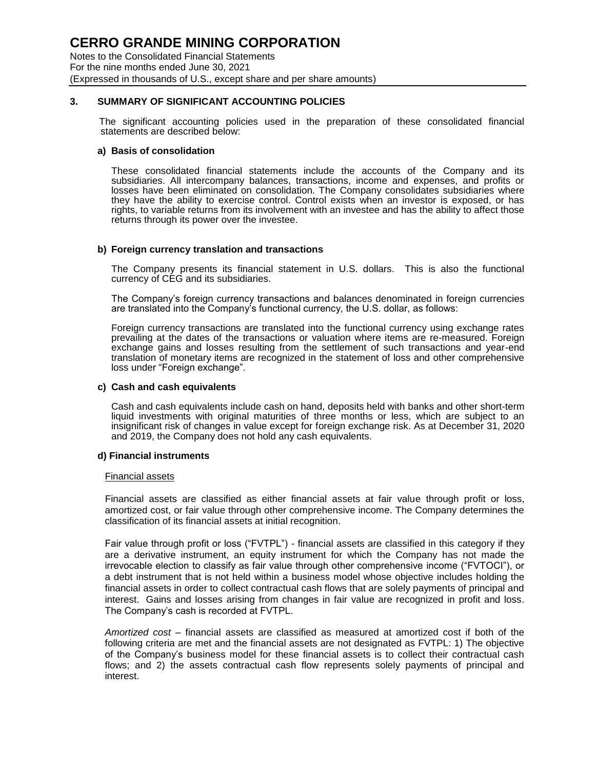Notes to the Consolidated Financial Statements For the nine months ended June 30, 2021 (Expressed in thousands of U.S., except share and per share amounts)

#### **3. SUMMARY OF SIGNIFICANT ACCOUNTING POLICIES**

The significant accounting policies used in the preparation of these consolidated financial statements are described below:

#### **a) Basis of consolidation**

These consolidated financial statements include the accounts of the Company and its subsidiaries. All intercompany balances, transactions, income and expenses, and profits or losses have been eliminated on consolidation. The Company consolidates subsidiaries where they have the ability to exercise control. Control exists when an investor is exposed, or has rights, to variable returns from its involvement with an investee and has the ability to affect those returns through its power over the investee.

#### **b) Foreign currency translation and transactions**

The Company presents its financial statement in U.S. dollars. This is also the functional currency of CEG and its subsidiaries.

The Company's foreign currency transactions and balances denominated in foreign currencies are translated into the Company's functional currency, the U.S. dollar, as follows:

Foreign currency transactions are translated into the functional currency using exchange rates prevailing at the dates of the transactions or valuation where items are re-measured. Foreign exchange gains and losses resulting from the settlement of such transactions and year-end translation of monetary items are recognized in the statement of loss and other comprehensive loss under "Foreign exchange".

#### **c) Cash and cash equivalents**

Cash and cash equivalents include cash on hand, deposits held with banks and other short-term liquid investments with original maturities of three months or less, which are subject to an insignificant risk of changes in value except for foreign exchange risk. As at December 31, 2020 and 2019, the Company does not hold any cash equivalents.

#### **d) Financial instruments**

#### Financial assets

Financial assets are classified as either financial assets at fair value through profit or loss, amortized cost, or fair value through other comprehensive income. The Company determines the classification of its financial assets at initial recognition.

Fair value through profit or loss ("FVTPL") - financial assets are classified in this category if they are a derivative instrument, an equity instrument for which the Company has not made the irrevocable election to classify as fair value through other comprehensive income ("FVTOCI"), or a debt instrument that is not held within a business model whose objective includes holding the financial assets in order to collect contractual cash flows that are solely payments of principal and interest. Gains and losses arising from changes in fair value are recognized in profit and loss. The Company's cash is recorded at FVTPL.

*Amortized cost* – financial assets are classified as measured at amortized cost if both of the following criteria are met and the financial assets are not designated as FVTPL: 1) The objective of the Company's business model for these financial assets is to collect their contractual cash flows; and 2) the assets contractual cash flow represents solely payments of principal and interest.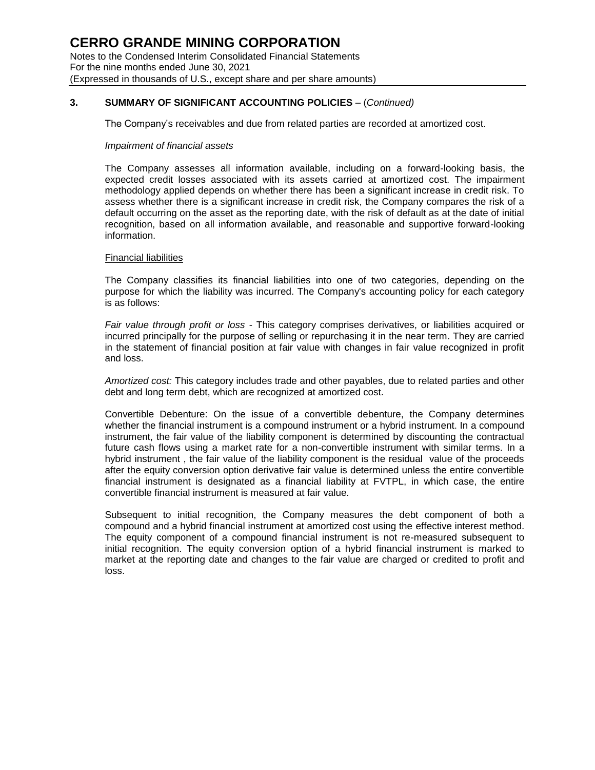### **CERRO GRANDE MINING CORPORATION** Notes to the Condensed Interim Consolidated Financial Statements

For the nine months ended June 30, 2021 (Expressed in thousands of U.S., except share and per share amounts)

### **3. SUMMARY OF SIGNIFICANT ACCOUNTING POLICIES** – (*Continued)*

The Company's receivables and due from related parties are recorded at amortized cost.

#### *Impairment of financial assets*

The Company assesses all information available, including on a forward-looking basis, the expected credit losses associated with its assets carried at amortized cost. The impairment methodology applied depends on whether there has been a significant increase in credit risk. To assess whether there is a significant increase in credit risk, the Company compares the risk of a default occurring on the asset as the reporting date, with the risk of default as at the date of initial recognition, based on all information available, and reasonable and supportive forward-looking information.

#### Financial liabilities

The Company classifies its financial liabilities into one of two categories, depending on the purpose for which the liability was incurred. The Company's accounting policy for each category is as follows:

*Fair value through profit or loss* - This category comprises derivatives, or liabilities acquired or incurred principally for the purpose of selling or repurchasing it in the near term. They are carried in the statement of financial position at fair value with changes in fair value recognized in profit and loss.

*Amortized cost:* This category includes trade and other payables, due to related parties and other debt and long term debt, which are recognized at amortized cost.

Convertible Debenture: On the issue of a convertible debenture, the Company determines whether the financial instrument is a compound instrument or a hybrid instrument. In a compound instrument, the fair value of the liability component is determined by discounting the contractual future cash flows using a market rate for a non-convertible instrument with similar terms. In a hybrid instrument , the fair value of the liability component is the residual value of the proceeds after the equity conversion option derivative fair value is determined unless the entire convertible financial instrument is designated as a financial liability at FVTPL, in which case, the entire convertible financial instrument is measured at fair value.

Subsequent to initial recognition, the Company measures the debt component of both a compound and a hybrid financial instrument at amortized cost using the effective interest method. The equity component of a compound financial instrument is not re-measured subsequent to initial recognition. The equity conversion option of a hybrid financial instrument is marked to market at the reporting date and changes to the fair value are charged or credited to profit and loss.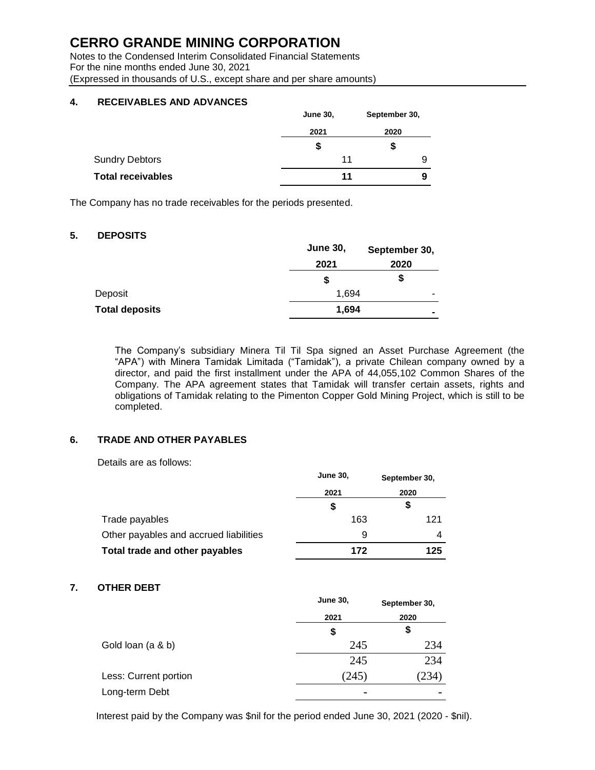Notes to the Condensed Interim Consolidated Financial Statements For the nine months ended June 30, 2021 (Expressed in thousands of U.S., except share and per share amounts)

#### **4. RECEIVABLES AND ADVANCES**

|                          | <b>June 30,</b> | September 30, |
|--------------------------|-----------------|---------------|
|                          | 2021            | 2020          |
|                          | \$              | \$            |
| <b>Sundry Debtors</b>    | 11              | 9             |
| <b>Total receivables</b> | 11              | 9             |

The Company has no trade receivables for the periods presented.

### **5. DEPOSITS**

|                       | <b>June 30,</b> | September 30,  |
|-----------------------|-----------------|----------------|
|                       | 2021            | 2020           |
|                       | \$              | \$             |
| Deposit               | 1,694           | -              |
| <b>Total deposits</b> | 1,694           | $\blacksquare$ |

The Company's subsidiary Minera Til Til Spa signed an Asset Purchase Agreement (the "APA") with Minera Tamidak Limitada ("Tamidak"), a private Chilean company owned by a director, and paid the first installment under the APA of 44,055,102 Common Shares of the Company. The APA agreement states that Tamidak will transfer certain assets, rights and obligations of Tamidak relating to the Pimenton Copper Gold Mining Project, which is still to be completed.

#### **6. TRADE AND OTHER PAYABLES**

Details are as follows:

|                                        | <b>June 30.</b> | September 30,<br>2020 |  |
|----------------------------------------|-----------------|-----------------------|--|
|                                        | 2021            |                       |  |
|                                        | \$              | \$                    |  |
| Trade payables                         | 163             | 121                   |  |
| Other payables and accrued liabilities | 9               |                       |  |
| Total trade and other payables         | 172             | 125                   |  |

#### **7. OTHER DEBT**

|                       | <b>June 30,</b> | September 30, |  |
|-----------------------|-----------------|---------------|--|
|                       | 2021            | 2020          |  |
|                       | \$              | \$            |  |
| Gold loan (a & b)     | 245             | 234           |  |
|                       | 245             | 234           |  |
| Less: Current portion | (245)           | 234)          |  |
| Long-term Debt        | $\blacksquare$  |               |  |
|                       |                 |               |  |

Interest paid by the Company was \$nil for the period ended June 30, 2021 (2020 - \$nil).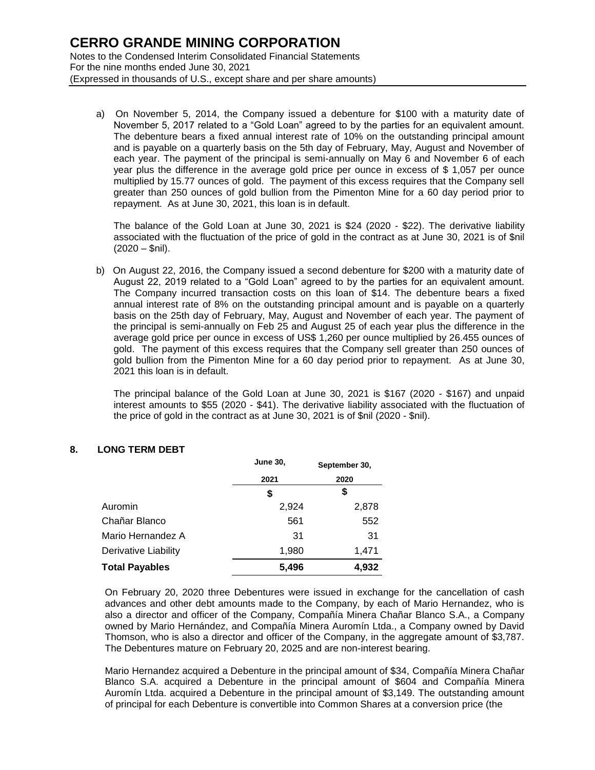a) On November 5, 2014, the Company issued a debenture for \$100 with a maturity date of November 5, 2017 related to a "Gold Loan" agreed to by the parties for an equivalent amount. The debenture bears a fixed annual interest rate of 10% on the outstanding principal amount and is payable on a quarterly basis on the 5th day of February, May, August and November of each year. The payment of the principal is semi-annually on May 6 and November 6 of each year plus the difference in the average gold price per ounce in excess of \$ 1,057 per ounce multiplied by 15.77 ounces of gold. The payment of this excess requires that the Company sell greater than 250 ounces of gold bullion from the Pimenton Mine for a 60 day period prior to repayment. As at June 30, 2021, this loan is in default.

The balance of the Gold Loan at June 30, 2021 is \$24 (2020 - \$22). The derivative liability associated with the fluctuation of the price of gold in the contract as at June 30, 2021 is of \$nil  $(2020 - $nil).$ 

b) On August 22, 2016, the Company issued a second debenture for \$200 with a maturity date of August 22, 2019 related to a "Gold Loan" agreed to by the parties for an equivalent amount. The Company incurred transaction costs on this loan of \$14. The debenture bears a fixed annual interest rate of 8% on the outstanding principal amount and is payable on a quarterly basis on the 25th day of February, May, August and November of each year. The payment of the principal is semi-annually on Feb 25 and August 25 of each year plus the difference in the average gold price per ounce in excess of US\$ 1,260 per ounce multiplied by 26.455 ounces of gold. The payment of this excess requires that the Company sell greater than 250 ounces of gold bullion from the Pimenton Mine for a 60 day period prior to repayment. As at June 30, 2021 this loan is in default.

The principal balance of the Gold Loan at June 30, 2021 is \$167 (2020 - \$167) and unpaid interest amounts to \$55 (2020 - \$41). The derivative liability associated with the fluctuation of the price of gold in the contract as at June 30, 2021 is of \$nil (2020 - \$nil).

#### **8. LONG TERM DEBT**

|                       | <b>June 30,</b> | September 30, |  |
|-----------------------|-----------------|---------------|--|
|                       | 2021            | 2020          |  |
|                       | 5               | 5             |  |
| Auromin               | 2,924           | 2,878         |  |
| Chañar Blanco         | 561             | 552           |  |
| Mario Hernandez A     | -31             | 31            |  |
| Derivative Liability  | 1,980           | 1,471         |  |
| <b>Total Payables</b> | 5,496           | 4,932         |  |

On February 20, 2020 three Debentures were issued in exchange for the cancellation of cash advances and other debt amounts made to the Company, by each of Mario Hernandez, who is also a director and officer of the Company, Compañía Minera Chañar Blanco S.A., a Company owned by Mario Hernández, and Compañía Minera Auromín Ltda., a Company owned by David Thomson, who is also a director and officer of the Company, in the aggregate amount of \$3,787. The Debentures mature on February 20, 2025 and are non-interest bearing.

Mario Hernandez acquired a Debenture in the principal amount of \$34, Compañía Minera Chañar Blanco S.A. acquired a Debenture in the principal amount of \$604 and Compañía Minera Auromín Ltda. acquired a Debenture in the principal amount of \$3,149. The outstanding amount of principal for each Debenture is convertible into Common Shares at a conversion price (the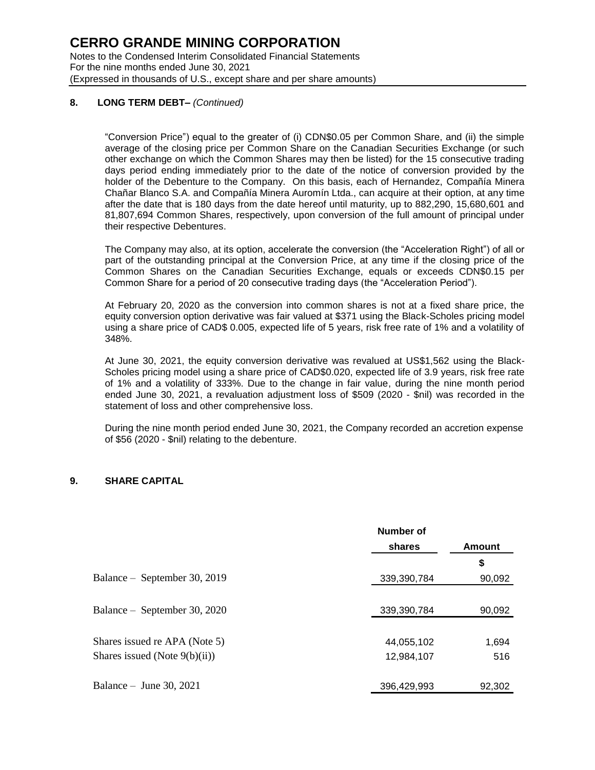#### **8. LONG TERM DEBT–** *(Continued)*

"Conversion Price") equal to the greater of (i) CDN\$0.05 per Common Share, and (ii) the simple average of the closing price per Common Share on the Canadian Securities Exchange (or such other exchange on which the Common Shares may then be listed) for the 15 consecutive trading days period ending immediately prior to the date of the notice of conversion provided by the holder of the Debenture to the Company. On this basis, each of Hernandez, Compañía Minera Chañar Blanco S.A. and Compañía Minera Auromín Ltda., can acquire at their option, at any time after the date that is 180 days from the date hereof until maturity, up to 882,290, 15,680,601 and 81,807,694 Common Shares, respectively, upon conversion of the full amount of principal under their respective Debentures.

The Company may also, at its option, accelerate the conversion (the "Acceleration Right") of all or part of the outstanding principal at the Conversion Price, at any time if the closing price of the Common Shares on the Canadian Securities Exchange, equals or exceeds CDN\$0.15 per Common Share for a period of 20 consecutive trading days (the "Acceleration Period").

At February 20, 2020 as the conversion into common shares is not at a fixed share price, the equity conversion option derivative was fair valued at \$371 using the Black-Scholes pricing model using a share price of CAD\$ 0.005, expected life of 5 years, risk free rate of 1% and a volatility of 348%.

At June 30, 2021, the equity conversion derivative was revalued at US\$1,562 using the Black-Scholes pricing model using a share price of CAD\$0.020, expected life of 3.9 years, risk free rate of 1% and a volatility of 333%. Due to the change in fair value, during the nine month period ended June 30, 2021, a revaluation adjustment loss of \$509 (2020 - \$nil) was recorded in the statement of loss and other comprehensive loss.

During the nine month period ended June 30, 2021, the Company recorded an accretion expense of \$56 (2020 - \$nil) relating to the debenture.

#### **9. SHARE CAPITAL**

|                                  | Number of   |        |  |
|----------------------------------|-------------|--------|--|
|                                  | shares      | Amount |  |
|                                  |             | \$     |  |
| Balance – September 30, 2019     | 339,390,784 | 90,092 |  |
|                                  |             |        |  |
| Balance – September 30, 2020     | 339,390,784 | 90,092 |  |
|                                  |             |        |  |
| Shares issued re APA (Note 5)    | 44,055,102  | 1,694  |  |
| Shares issued (Note $9(b)(ii)$ ) | 12,984,107  | 516    |  |
|                                  |             |        |  |
| Balance – June 30, 2021          | 396,429,993 | 92,302 |  |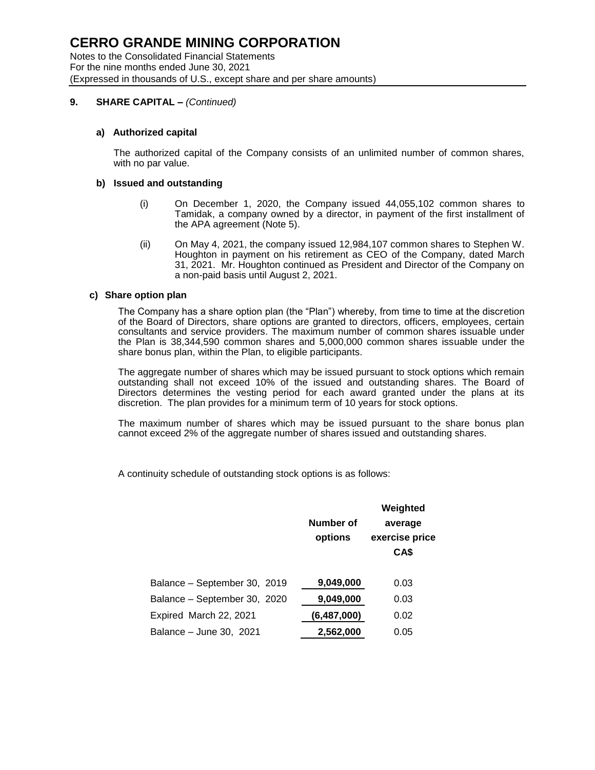Notes to the Consolidated Financial Statements For the nine months ended June 30, 2021 (Expressed in thousands of U.S., except share and per share amounts)

#### **9. SHARE CAPITAL –** *(Continued)*

#### **a) Authorized capital**

The authorized capital of the Company consists of an unlimited number of common shares, with no par value.

#### **b) Issued and outstanding**

- (i) On December 1, 2020, the Company issued 44,055,102 common shares to Tamidak, a company owned by a director, in payment of the first installment of the APA agreement (Note 5).
- (ii) On May 4, 2021, the company issued 12,984,107 common shares to Stephen W. Houghton in payment on his retirement as CEO of the Company, dated March 31, 2021. Mr. Houghton continued as President and Director of the Company on a non-paid basis until August 2, 2021.

#### **c) Share option plan**

The Company has a share option plan (the "Plan") whereby, from time to time at the discretion of the Board of Directors, share options are granted to directors, officers, employees, certain consultants and service providers. The maximum number of common shares issuable under the Plan is 38,344,590 common shares and 5,000,000 common shares issuable under the share bonus plan, within the Plan, to eligible participants.

The aggregate number of shares which may be issued pursuant to stock options which remain outstanding shall not exceed 10% of the issued and outstanding shares. The Board of Directors determines the vesting period for each award granted under the plans at its discretion. The plan provides for a minimum term of 10 years for stock options.

The maximum number of shares which may be issued pursuant to the share bonus plan cannot exceed 2% of the aggregate number of shares issued and outstanding shares.

A continuity schedule of outstanding stock options is as follows:

|                              | <b>Number of</b><br>options | Weighted<br>average<br>exercise price<br>CA\$ |
|------------------------------|-----------------------------|-----------------------------------------------|
| Balance - September 30, 2019 | 9,049,000                   | 0.03                                          |
| Balance - September 30, 2020 | 9,049,000                   | 0.03                                          |
| Expired March 22, 2021       | (6,487,000)                 | 0.02                                          |
| Balance - June 30, 2021      | 2,562,000                   | 0.05                                          |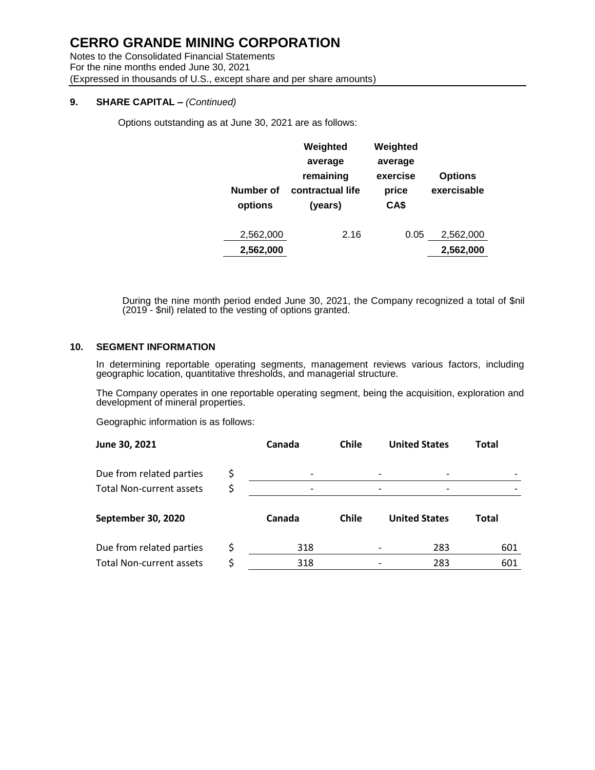Notes to the Consolidated Financial Statements For the nine months ended June 30, 2021 (Expressed in thousands of U.S., except share and per share amounts)

#### **9. SHARE CAPITAL –** *(Continued)*

Options outstanding as at June 30, 2021 are as follows:

| Number of<br>options | Weighted<br>average<br>remaining<br>contractual life<br>(years) | Weighted<br>average<br>exercise<br>price<br>CA\$ | <b>Options</b><br>exercisable |
|----------------------|-----------------------------------------------------------------|--------------------------------------------------|-------------------------------|
| 2,562,000            | 2.16                                                            | 0.05                                             | 2,562,000                     |
| 2,562,000            |                                                                 |                                                  | 2,562,000                     |

During the nine month period ended June 30, 2021, the Company recognized a total of \$nil (2019 - \$nil) related to the vesting of options granted.

#### **10. SEGMENT INFORMATION**

In determining reportable operating segments, management reviews various factors, including geographic location, quantitative thresholds, and managerial structure.

The Company operates in one reportable operating segment, being the acquisition, exploration and development of mineral properties.

Geographic information is as follows:

| June 30, 2021                   |    | Canada | <b>Chile</b> | <b>United States</b> |                      | Total |
|---------------------------------|----|--------|--------------|----------------------|----------------------|-------|
| Due from related parties        | \$ |        |              |                      |                      |       |
| <b>Total Non-current assets</b> | \$ |        |              |                      |                      |       |
| September 30, 2020              |    | Canada | <b>Chile</b> |                      | <b>United States</b> | Total |
| Due from related parties        | \$ | 318    |              |                      | 283                  | 601   |
| <b>Total Non-current assets</b> |    | 318    |              |                      | 283                  | 601   |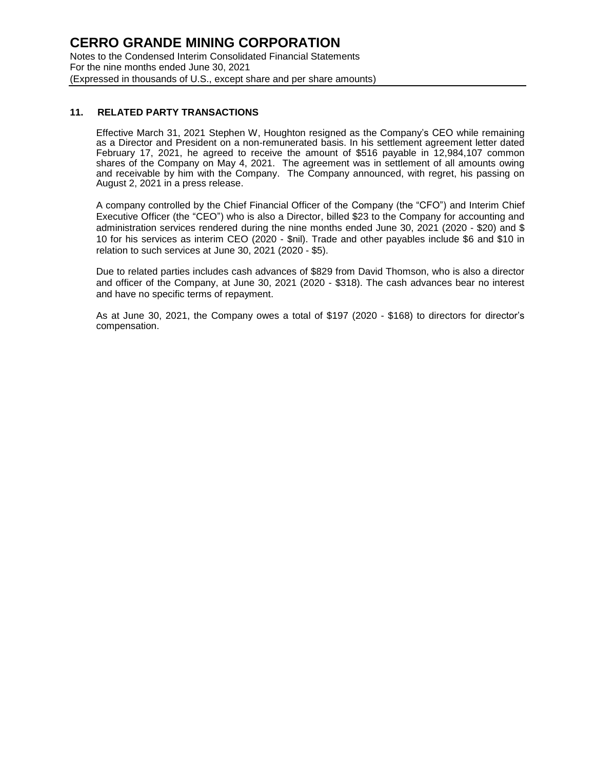#### **11. RELATED PARTY TRANSACTIONS**

Effective March 31, 2021 Stephen W, Houghton resigned as the Company's CEO while remaining as a Director and President on a non-remunerated basis. In his settlement agreement letter dated February 17, 2021, he agreed to receive the amount of \$516 payable in 12,984,107 common shares of the Company on May 4, 2021. The agreement was in settlement of all amounts owing and receivable by him with the Company. The Company announced, with regret, his passing on August 2, 2021 in a press release.

A company controlled by the Chief Financial Officer of the Company (the "CFO") and Interim Chief Executive Officer (the "CEO") who is also a Director, billed \$23 to the Company for accounting and administration services rendered during the nine months ended June 30, 2021 (2020 - \$20) and \$ 10 for his services as interim CEO (2020 - \$nil). Trade and other payables include \$6 and \$10 in relation to such services at June 30, 2021 (2020 - \$5).

Due to related parties includes cash advances of \$829 from David Thomson, who is also a director and officer of the Company, at June 30, 2021 (2020 - \$318). The cash advances bear no interest and have no specific terms of repayment.

As at June 30, 2021, the Company owes a total of \$197 (2020 - \$168) to directors for director's compensation.